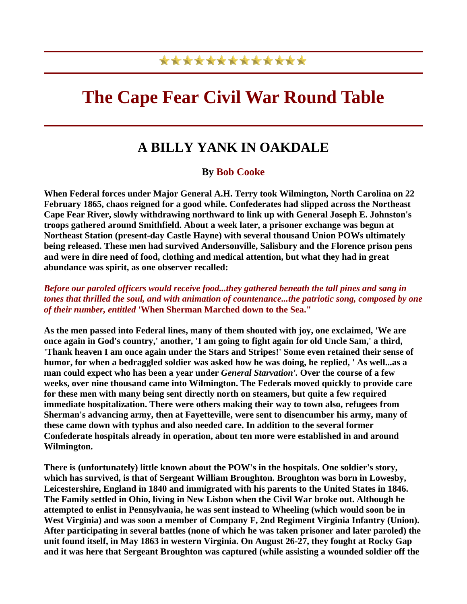## \*\*\*\*\*\*\*\*\*\*\*\*\*

# **The Cape Fear Civil War Round Table**

## **A BILLY YANK IN OAKDALE**

#### **By Bob Cooke**

**When Federal forces under Major General A.H. Terry took Wilmington, North Carolina on 22 February 1865, chaos reigned for a good while. Confederates had slipped across the Northeast Cape Fear River, slowly withdrawing northward to link up with General Joseph E. Johnston's troops gathered around Smithfield. About a week later, a prisoner exchange was begun at Northeast Station (present-day Castle Hayne) with several thousand Union POWs ultimately being released. These men had survived Andersonville, Salisbury and the Florence prison pens and were in dire need of food, clothing and medical attention, but what they had in great abundance was spirit, as one observer recalled:** 

*Before our paroled officers would receive food...they gathered beneath the tall pines and sang in tones that thrilled the soul, and with animation of countenance...the patriotic song, composed by one of their number, entitled* **'When Sherman Marched down to the Sea."**

**As the men passed into Federal lines, many of them shouted with joy, one exclaimed, 'We are once again in God's country,' another, 'I am going to fight again for old Uncle Sam,' a third, 'Thank heaven I am once again under the Stars and Stripes!' Some even retained their sense of humor, for when a bedraggled soldier was asked how he was doing, he replied, ' As well...as a man could expect who has been a year under** *General Starvation'.* **Over the course of a few weeks, over nine thousand came into Wilmington. The Federals moved quickly to provide care for these men with many being sent directly north on steamers, but quite a few required immediate hospitalization. There were others making their way to town also, refugees from Sherman's advancing army, then at Fayetteville, were sent to disencumber his army, many of these came down with typhus and also needed care. In addition to the several former Confederate hospitals already in operation, about ten more were established in and around Wilmington.** 

**There is (unfortunately) little known about the POW's in the hospitals. One soldier's story, which has survived, is that of Sergeant William Broughton. Broughton was born in Lowesby, Leicestershire, England in 1840 and immigrated with his parents to the United States in 1846. The Family settled in Ohio, living in New Lisbon when the Civil War broke out. Although he attempted to enlist in Pennsylvania, he was sent instead to Wheeling (which would soon be in**  West Virginia) and was soon a member of Company F, 2nd Regiment Virginia Infantry (Union). **After participating in several battles (none of which he was taken prisoner and later paroled) the unit found itself, in May 1863 in western Virginia. On August 26-27, they fought at Rocky Gap and it was here that Sergeant Broughton was captured (while assisting a wounded soldier off the**